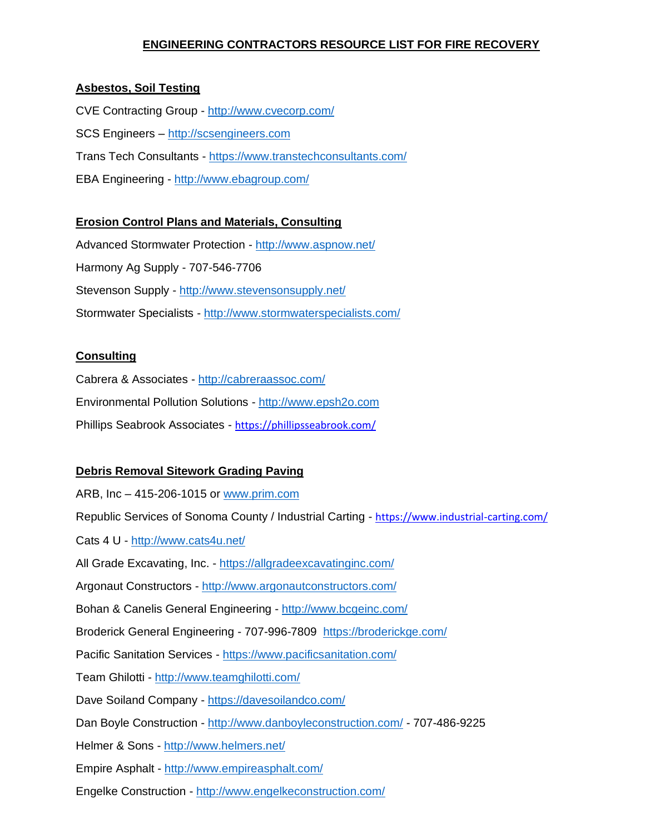## **ENGINEERING CONTRACTORS RESOURCE LIST FOR FIRE RECOVERY**

## **Asbestos, Soil Testing**

CVE Contracting Group - <http://www.cvecorp.com/> SCS Engineers – [http://scsengineers.com](http://scsengineers.com/) Trans Tech Consultants - <https://www.transtechconsultants.com/> EBA Engineering - <http://www.ebagroup.com/>

### **Erosion Control Plans and Materials, Consulting**

Advanced Stormwater Protection - <http://www.aspnow.net/> Harmony Ag Supply - 707-546-7706 Stevenson Supply - <http://www.stevensonsupply.net/> Stormwater Specialists - <http://www.stormwaterspecialists.com/>

#### **Consulting**

Cabrera & Associates - <http://cabreraassoc.com/> Environmental Pollution Solutions - [http://www.epsh2o.com](http://www.epsh2o.com/) Phillips Seabrook Associates - <https://phillipsseabrook.com/>

### **Debris Removal Sitework Grading Paving**

ARB, Inc – 415-206-1015 or [www.prim.com](http://www.prim.com/) Republic Services of Sonoma County / Industrial Carting - <https://www.industrial-carting.com/> Cats 4 U - <http://www.cats4u.net/> All Grade Excavating, Inc. - <https://allgradeexcavatinginc.com/> Argonaut Constructors - <http://www.argonautconstructors.com/> Bohan & Canelis General Engineering - <http://www.bcgeinc.com/> Broderick General Engineering - 707-996-7809 <https://broderickge.com/> Pacific Sanitation Services - <https://www.pacificsanitation.com/> Team Ghilotti - <http://www.teamghilotti.com/> Dave Soiland Company - <https://davesoilandco.com/> Dan Boyle Construction - <http://www.danboyleconstruction.com/> - 707-486-9225 Helmer & Sons - <http://www.helmers.net/> Empire Asphalt - <http://www.empireasphalt.com/>

Engelke Construction - <http://www.engelkeconstruction.com/>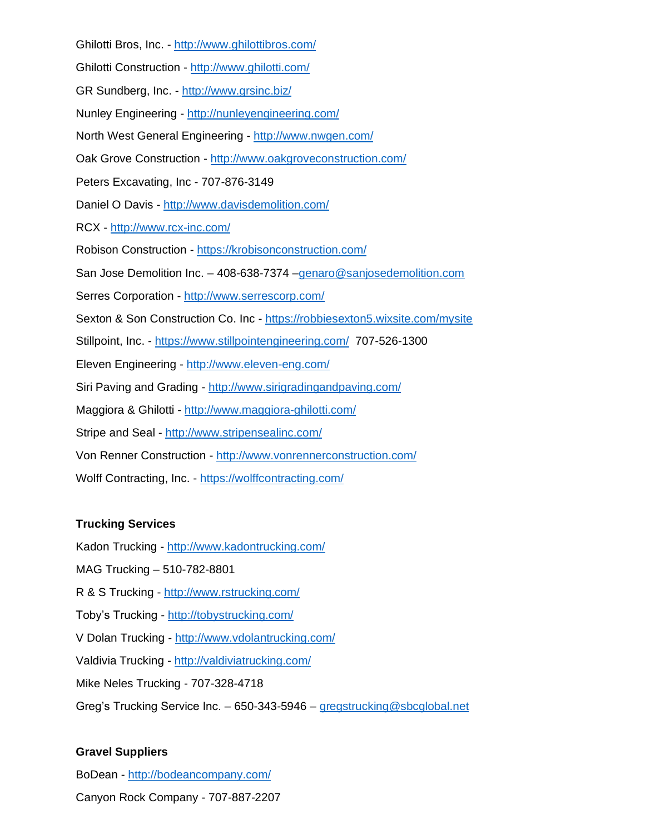Ghilotti Bros, Inc. - <http://www.ghilottibros.com/> Ghilotti Construction - <http://www.ghilotti.com/> GR Sundberg, Inc. - <http://www.grsinc.biz/> Nunley Engineering - <http://nunleyengineering.com/> North West General Engineering - <http://www.nwgen.com/> Oak Grove Construction - <http://www.oakgroveconstruction.com/> Peters Excavating, Inc - 707-876-3149 Daniel O Davis - <http://www.davisdemolition.com/> RCX - <http://www.rcx-inc.com/> Robison Construction - <https://krobisonconstruction.com/> San Jose Demolition Inc. – 408-638-7374 [–genaro@sanjosedemolition.com](mailto:genaro@sanjosedemolition.com) Serres Corporation - <http://www.serrescorp.com/> Sexton & Son Construction Co. Inc - <https://robbiesexton5.wixsite.com/mysite> Stillpoint, Inc. - <https://www.stillpointengineering.com/>707-526-1300 Eleven Engineering - <http://www.eleven-eng.com/> Siri Paving and Grading - <http://www.sirigradingandpaving.com/> Maggiora & Ghilotti - <http://www.maggiora-ghilotti.com/> Stripe and Seal - <http://www.stripensealinc.com/> Von Renner Construction - <http://www.vonrennerconstruction.com/> Wolff Contracting, Inc. - <https://wolffcontracting.com/>

### **Trucking Services**

Kadon Trucking - <http://www.kadontrucking.com/>

MAG Trucking – 510-782-8801

R & S Trucking - <http://www.rstrucking.com/>

Toby's Trucking - <http://tobystrucking.com/>

V Dolan Trucking - <http://www.vdolantrucking.com/>

Valdivia Trucking - <http://valdiviatrucking.com/>

Mike Neles Trucking - 707-328-4718

Greg's Trucking Service Inc. – 650-343-5946 – [gregstrucking@sbcglobal.net](mailto:gregstrucking@sbcglobal.net)

### **Gravel Suppliers**

BoDean - <http://bodeancompany.com/>

Canyon Rock Company - 707-887-2207